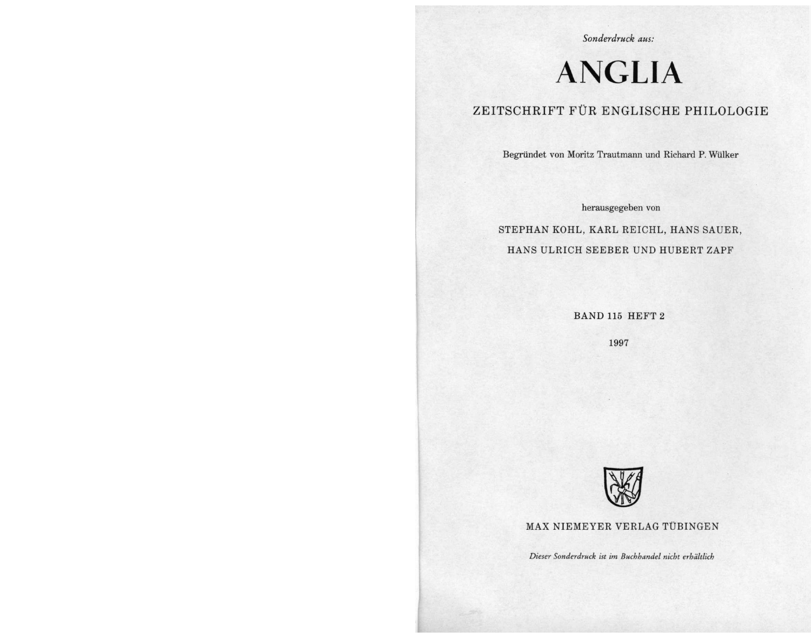Sonderdruck aus:

# **ANGLIA**

# ZEITSCHRIFT FÜR ENGLISCHE PHILOLOGIE

Begründet von Moritz Trautmann und Richard P. Wülker

herausgegeben von

STEPHAN KOHL, KARL REICHL, HANS SAUER, HANS ULRICH SEEBER UND HUBERT ZAPF

BAND 115 HEFT 2

1997



MAX NIEMEYER VERLAG TÜBINGEN

Dieser Sonderdruck ist im Buchhandel nicht erhältlich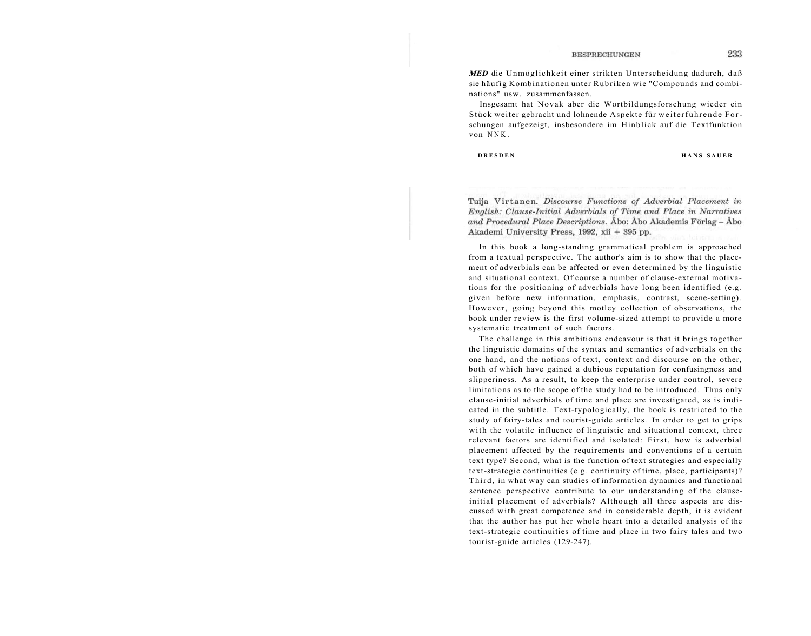*MED* die Unmöglichkeit einer strikten Unterscheidung dadurch, daß sie häufig Kombinationen unter Rubriken wie "Compounds and combinations" usw. zusammenfassen.

Insgesamt hat Novak aber die Wortbildungsforschung wieder ein Stück weiter gebracht und lohnende Aspekte für weiterführende Forschungen aufgezeigt, insbesondere im Hinblick auf die Textfunktion von NNK .

**DRESDEN HANS SAUER** 

Tuija Virtanen. Discourse Functions of Adverbial Placement in English: Clause-Initial Adverbials of Time and Place in Narratives and Procedural Place Descriptions. Åbo: Åbo Akademis Förlag - Åbo Akademi University Press, 1992, xii + 395 pp.

In this book a long-standing grammatical problem is approached from a textual perspective. The author's aim is to show that the placement of adverbials can be affected or even determined by the linguistic and situational context. Of course a number of clause-external motivations for the positioning of adverbials have long been identified (e.g. given before new information, emphasis, contrast, scene-setting). However, going beyond this motley collection of observations, the book under review is the first volume-sized attempt to provide a more systematic treatment of such factors.

The challenge in this ambitious endeavour is that it brings together the linguistic domains of the syntax and semantics of adverbials on the one hand, and the notions of text, context and discourse on the other, both of which have gained a dubious reputation for confusingness and slipperiness. As a result, to keep the enterprise under control, severe limitations as to the scope of the study had to be introduced. Thus only clause-initial adverbials of time and place are investigated, as is indicated in the subtitle. Text-typologically, the book is restricted to the study of fairy-tales and tourist-guide articles. In order to get to grips with the volatile influence of linguistic and situational context, three relevant factors are identified and isolated: First, how is adverbial placement affected by the requirements and conventions of a certain text type? Second, what is the function of text strategies and especially text-strategic continuities (e.g. continuity of time, place, participants)? Third, in what way can studies of information dynamics and functional sentence perspective contribute to our understanding of the clauseinitial placement of adverbials? Although all three aspects are discussed with great competence and in considerable depth, it is evident that the author has put her whole heart into a detailed analysis of the text-strategic continuities of time and place in two fairy tales and two tourist-guide articles (129-247).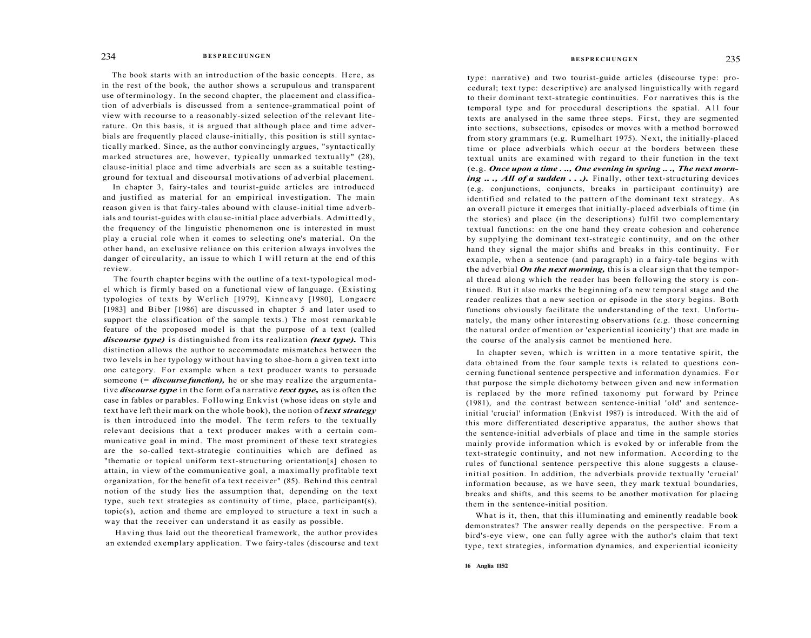The book starts with an introduction of the basic concepts. Here, as in the rest of the book, the author shows a scrupulous and transparent use of terminology. In the second chapter, the placement and classification of adverbials is discussed from a sentence-grammatical point of view with recourse to a reasonably-sized selection of the relevant literature. On this basis, it is argued that although place and time adverbials are frequently placed clause-initially, this position is still syntactically marked. Since, as the author convincingly argues, "syntactically marked structures are, however, typically unmarked textually" (28), clause-initial place and time adverbials are seen as a suitable testingground for textual and discoursal motivations of adverbial placement.

In chapter 3, fairy-tales and tourist-guide articles are introduced and justified as material for an empirical investigation. The main reason given is that fairy-tales abound with clause-initial time adverbials and tourist-guides with clause-initial place adverbials. Admittedly, the frequency of the linguistic phenomenon one is interested in must play a crucial role when it comes to selecting one's material. On the other hand, an exclusive reliance on this criterion always involves the danger of circularity, an issue to which I will return at the end of this review.

The fourth chapter begins with the outline of a text-typological model which is firmly based on a functional view of language. (Existing typologies of texts by Werlich [1979], Kinneavy [1980], Longacre [1983] and Biber [1986] are discussed in chapter 5 and later used to support the classification of the sample texts.) The most remarkable feature of the proposed model is that the purpose of a text (called *discourse type)* is distinguished from its realization *(text type).* This distinction allows the author to accommodate mismatches between the two levels in her typology without having to shoe-horn a given text into one category. For example when a text producer wants to persuade someone (= *discourse function),* he or she may realize the argumentative *discourse type* in the form of a narrative *text type,* as is often the case in fables or parables. Following Enkvist (whose ideas on style and text have left their mark on the whole book), the notion of *text strategy*  is then introduced into the model. The term refers to the textually relevant decisions that a text producer makes with a certain communicative goal in mind. The most prominent of these text strategies are the so-called text-strategic continuities which are defined as "thematic or topical uniform text-structuring orientation[s] chosen to attain, in view of the communicative goal, a maximally profitable text organization, for the benefit of a text receiver" (85). Behind this central notion of the study lies the assumption that, depending on the text type, such text strategies as continuity of time, place, participant(s), topic(s), action and theme are employed to structure a text in such a way that the receiver can understand it as easily as possible.

Having thus laid out the theoretical framework, the author provides an extended exemplary application. Two fairy-tales (discourse and text

## **BESPRECHUNGEN BESPRECHUNGEN** 235

type: narrative) and two tourist-guide articles (discourse type: procedural; text type: descriptive) are analysed linguistically with regard to their dominant text-strategic continuities. For narratives this is the temporal type and for procedural descriptions the spatial. All four texts are analysed in the same three steps. First, they are segmented into sections, subsections, episodes or moves with a method borrowed from story grammars (e.g. Rumelhart 1975). Next, the initially-placed time or place adverbials which occur at the borders between these textual units are examined with regard to their function in the text (e.g. *Once upon a time . .., One evening in spring .. ., The next morning ..., All of a sudden ...*). Finally, other text-structuring devices (e.g. conjunctions, conjuncts, breaks in participant continuity) are identified and related to the pattern of the dominant text strategy. As an overall picture it emerges that initially-placed adverbials of time (in the stories) and place (in the descriptions) fulfil two complementary textual functions: on the one hand they create cohesion and coherence by supplying the dominant text-strategic continuity, and on the other hand they signal the major shifts and breaks in this continuity. For example, when a sentence (and paragraph) in a fairy-tale begins with the adverbial *On the next morning,* this is a clear sign that the temporal thread along which the reader has been following the story is continued. But it also marks the beginning of a new temporal stage and the reader realizes that a new section or episode in the story begins. Both functions obviously facilitate the understanding of the text. Unfortunately, the many other interesting observations (e.g. those concerning the natural order of mention or 'experiential iconicity') that are made in the course of the analysis cannot be mentioned here.

In chapter seven, which is written in a more tentative spirit, the data obtained from the four sample texts is related to questions concerning functional sentence perspective and information dynamics. For that purpose the simple dichotomy between given and new information is replaced by the more refined taxonomy put forward by Prince (1981), and the contrast between sentence-initial 'old' and sentenceinitial 'crucial' information (Enkvist 1987) is introduced. With the aid of this more differentiated descriptive apparatus, the author shows that the sentence-initial adverbials of place and time in the sample stories mainly provide information which is evoked by or inferable from the text-strategic continuity, and not new information. According to the rules of functional sentence perspective this alone suggests a clauseinitial position. In addition, the adverbials provide textually 'crucial' information because, as we have seen, they mark textual boundaries, breaks and shifts, and this seems to be another motivation for placing them in the sentence-initial position.

What is it, then, that this illuminating and eminently readable book demonstrates? The answer really depends on the perspective. From a bird's-eye view, one can fully agree with the author's claim that text type, text strategies, information dynamics, and experiential iconicity